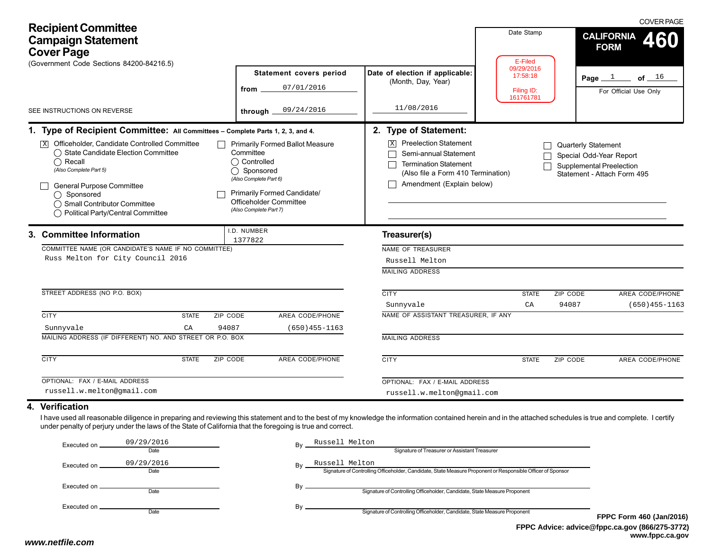| <b>Recipient Committee</b><br><b>Campaign Statement</b><br><b>Cover Page</b><br>(Government Code Sections 84200-84216.5)                                                                                                                                                                                                                                                  |              |                                                                                              |                                                                                                 |                                                                                                                                                                                                               | Date Stamp<br>E-Filed                             |                                                                                   | <b>COVER PAGE</b><br><b>CALIFORNIA</b><br><b>FORM</b> |
|---------------------------------------------------------------------------------------------------------------------------------------------------------------------------------------------------------------------------------------------------------------------------------------------------------------------------------------------------------------------------|--------------|----------------------------------------------------------------------------------------------|-------------------------------------------------------------------------------------------------|---------------------------------------------------------------------------------------------------------------------------------------------------------------------------------------------------------------|---------------------------------------------------|-----------------------------------------------------------------------------------|-------------------------------------------------------|
| SEE INSTRUCTIONS ON REVERSE                                                                                                                                                                                                                                                                                                                                               |              | from<br>through                                                                              | <b>Statement covers period</b><br>07/01/2016<br>09/24/2016                                      | Date of election if applicable:<br>(Month, Day, Year)<br>11/08/2016                                                                                                                                           | 09/29/2016<br>17:58:18<br>Filing ID:<br>161761781 |                                                                                   | Page $1$<br>of $16$<br>For Official Use Only          |
|                                                                                                                                                                                                                                                                                                                                                                           |              |                                                                                              |                                                                                                 |                                                                                                                                                                                                               |                                                   |                                                                                   |                                                       |
| 1. Type of Recipient Committee: All Committees - Complete Parts 1, 2, 3, and 4.<br>$\overline{\mathbb{X}}$ Officeholder, Candidate Controlled Committee<br>◯ State Candidate Election Committee<br>$\bigcap$ Recall<br>(Also Complete Part 5)<br>General Purpose Committee<br>$\bigcap$ Sponsored<br>◯ Small Contributor Committee<br>◯ Political Party/Central Committee |              | Committee<br>◯ Controlled<br>◯ Sponsored<br>(Also Complete Part 6)<br>(Also Complete Part 7) | <b>Primarily Formed Ballot Measure</b><br>Primarily Formed Candidate/<br>Officeholder Committee | 2. Type of Statement:<br><b>Preelection Statement</b><br>$\overline{\mathbf{x}}$<br>Semi-annual Statement<br><b>Termination Statement</b><br>(Also file a Form 410 Termination)<br>Amendment (Explain below)  |                                                   | Quarterly Statement<br>Special Odd-Year Report<br><b>Supplemental Preelection</b> | Statement - Attach Form 495                           |
| 3. Committee Information<br>COMMITTEE NAME (OR CANDIDATE'S NAME IF NO COMMITTEE)<br>Russ Melton for City Council 2016                                                                                                                                                                                                                                                     |              | I.D. NUMBER<br>1377822                                                                       |                                                                                                 | Treasurer(s)<br>NAME OF TREASURER<br>Russell Melton<br><b>MAILING ADDRESS</b>                                                                                                                                 |                                                   |                                                                                   |                                                       |
| STREET ADDRESS (NO P.O. BOX)                                                                                                                                                                                                                                                                                                                                              |              |                                                                                              |                                                                                                 | <b>CITY</b>                                                                                                                                                                                                   | <b>STATE</b>                                      | <b>ZIP CODE</b><br>94087                                                          | <b>AREA CODE/PHONE</b><br>$(650)455 - 1163$           |
| <b>CITY</b>                                                                                                                                                                                                                                                                                                                                                               | <b>STATE</b> | ZIP CODE                                                                                     | AREA CODE/PHONE                                                                                 | Sunnyvale<br>NAME OF ASSISTANT TREASURER, IF ANY                                                                                                                                                              | CA                                                |                                                                                   |                                                       |
| Sunnyvale                                                                                                                                                                                                                                                                                                                                                                 | CA           | 94087                                                                                        | $(650)455 - 1163$                                                                               |                                                                                                                                                                                                               |                                                   |                                                                                   |                                                       |
| MAILING ADDRESS (IF DIFFERENT) NO. AND STREET OR P.O. BOX                                                                                                                                                                                                                                                                                                                 |              |                                                                                              |                                                                                                 | <b>MAILING ADDRESS</b>                                                                                                                                                                                        |                                                   |                                                                                   |                                                       |
| <b>CITY</b>                                                                                                                                                                                                                                                                                                                                                               | <b>STATE</b> | ZIP CODE                                                                                     | AREA CODE/PHONE                                                                                 | <b>CITY</b>                                                                                                                                                                                                   | <b>STATE</b>                                      | ZIP CODE                                                                          | AREA CODE/PHONE                                       |
| OPTIONAL: FAX / E-MAIL ADDRESS                                                                                                                                                                                                                                                                                                                                            |              |                                                                                              |                                                                                                 | OPTIONAL: FAX / E-MAIL ADDRESS                                                                                                                                                                                |                                                   |                                                                                   |                                                       |
| russell.w.melton@gmail.com                                                                                                                                                                                                                                                                                                                                                |              |                                                                                              |                                                                                                 | russell.w.melton@gmail.com                                                                                                                                                                                    |                                                   |                                                                                   |                                                       |
| 4. Verification<br>under penalty of perjury under the laws of the State of California that the foregoing is true and correct.                                                                                                                                                                                                                                             |              |                                                                                              |                                                                                                 | I have used all reasonable diligence in preparing and reviewing this statement and to the best of my knowledge the information contained herein and in the attached schedules is true and complete. I certify |                                                   |                                                                                   |                                                       |

| Executed on.   | 09/29/2016 | Bv | Russell Melton                                                                                              |    |
|----------------|------------|----|-------------------------------------------------------------------------------------------------------------|----|
|                | Date       |    | Signature of Treasurer or Assistant Treasurer                                                               |    |
| Executed on.   | 09/29/2016 | Bv | Russell Melton                                                                                              |    |
|                | Date       |    | Signature of Controlling Officeholder, Candidate, State Measure Proponent or Responsible Officer of Sponsor |    |
| Executed on __ |            | Bv |                                                                                                             |    |
|                | Date       |    | Signature of Controlling Officeholder, Candidate, State Measure Proponent                                   |    |
|                |            | Bv |                                                                                                             |    |
|                | Date       |    | Signature of Controlling Officeholder, Candidate, State Measure Proponent                                   | FI |
|                |            |    |                                                                                                             |    |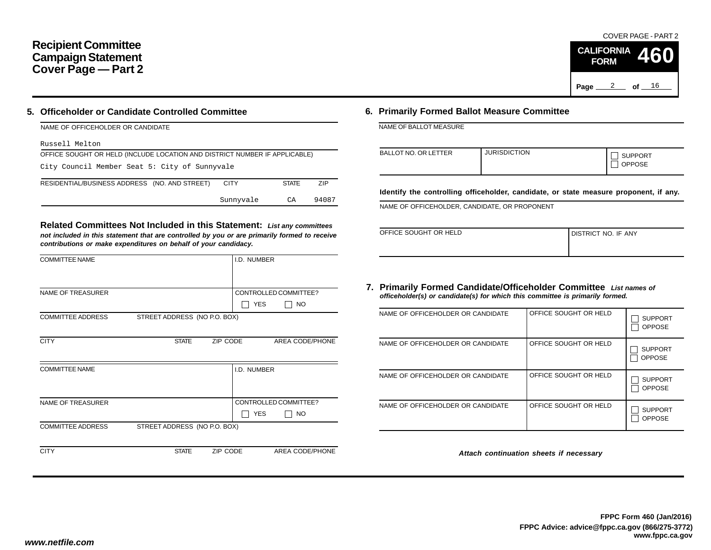## **Recipient Committee Campaign Statement Cover Page — Part 2**

### **5. Officeholder or Candidate Controlled Committee**

| NAME OF OFFICEHOLDER OR CANDIDATE                                          |             |              |            |
|----------------------------------------------------------------------------|-------------|--------------|------------|
| Russell Melton                                                             |             |              |            |
| OFFICE SOUGHT OR HELD (INCLUDE LOCATION AND DISTRICT NUMBER IF APPLICABLE) |             |              |            |
| City Council Member Seat 5: City of Sunnyvale                              |             |              |            |
| RESIDENTIAL/BUSINESS ADDRESS (NO. AND STREET)                              | <b>CITY</b> | <b>STATE</b> | <b>ZIP</b> |
|                                                                            | Sunnyvale   | CA           | 94087      |

**Related Committees Not Included in this Statement:** *List any committees not included in this statement that are controlled by you or are primarily formed to receive contributions or make expenditures on behalf of your candidacy.*

| <b>COMMITTEE NAME</b>    |                              |          | I.D. NUMBER |                       |
|--------------------------|------------------------------|----------|-------------|-----------------------|
|                          |                              |          |             |                       |
| <b>NAME OF TREASURER</b> |                              |          |             | CONTROLLED COMMITTEE? |
|                          |                              |          | <b>YES</b>  | <b>NO</b>             |
| <b>COMMITTEE ADDRESS</b> | STREET ADDRESS (NO P.O. BOX) |          |             |                       |
|                          |                              |          |             |                       |
| <b>CITY</b>              | <b>STATE</b>                 | ZIP CODE |             | AREA CODE/PHONE       |
|                          |                              |          |             |                       |
| <b>COMMITTEE NAME</b>    |                              |          | I.D. NUMBER |                       |
|                          |                              |          |             |                       |
|                          |                              |          |             |                       |
| <b>NAME OF TREASURER</b> |                              |          |             | CONTROLLED COMMITTEE? |
|                          |                              |          | <b>YES</b>  | <b>NO</b>             |
| <b>COMMITTEE ADDRESS</b> | STREET ADDRESS (NO P.O. BOX) |          |             |                       |
|                          |                              |          |             |                       |
| <b>CITY</b>              | <b>STATE</b>                 | ZIP CODE |             | AREA CODE/PHONE       |

### **6. Primarily Formed Ballot Measure Committee**

NAME OF BALLOT MEASURE

| BALLOT NO. OR LETTER | <b>JURISDICTION</b> | <b>SUPPORT</b><br><b>OPPOSE</b> |
|----------------------|---------------------|---------------------------------|
|----------------------|---------------------|---------------------------------|

**Identify the controlling officeholder, candidate, or state measure proponent, if any.**

NAME OF OFFICEHOLDER, CANDIDATE, OR PROPONENT

| OFFICE SOUGHT OR HELD | I DISTRICT NO. IF ANY |
|-----------------------|-----------------------|
|                       |                       |

#### **7. Primarily Formed Candidate/Officeholder Committee** *List names of officeholder(s) or candidate(s) for which this committee is primarily formed.*

| NAME OF OFFICEHOLDER OR CANDIDATE | OFFICE SOUGHT OR HELD | <b>SUPPORT</b><br><b>OPPOSE</b> |
|-----------------------------------|-----------------------|---------------------------------|
| NAME OF OFFICEHOLDER OR CANDIDATE | OFFICE SOUGHT OR HELD | <b>SUPPORT</b><br><b>OPPOSE</b> |
| NAME OF OFFICEHOLDER OR CANDIDATE | OFFICE SOUGHT OR HELD | <b>SUPPORT</b><br><b>OPPOSE</b> |
| NAME OF OFFICEHOLDER OR CANDIDATE | OFFICE SOUGHT OR HELD | <b>SUPPORT</b><br><b>OPPOSE</b> |

*Attach continuation sheets if necessary*

COVER PAGE - PART 2

**460**

Page <u>2</u> of <u>16</u>

**CALIFORNIA FORM**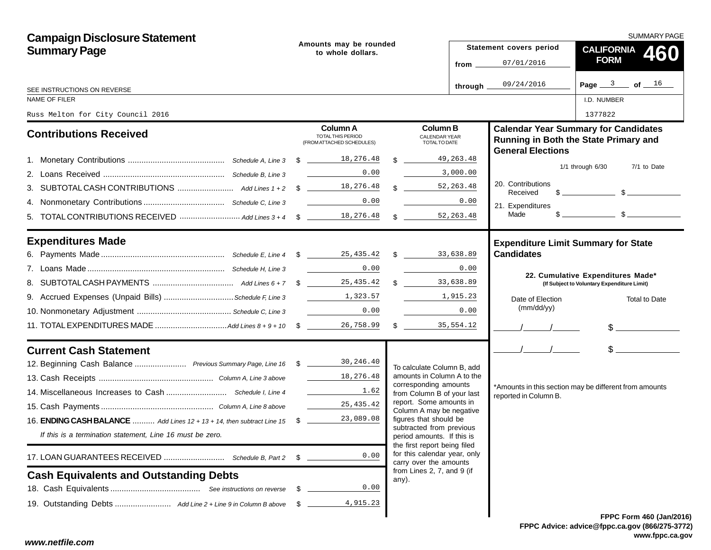| <b>Campaign Disclosure Statement</b>                                        |    |                                                                                                                                                                           |                                                                                        | SUMMARY PAGE |                               |                                                                                                                                                                                                                                                                                                                     |  |  |  |
|-----------------------------------------------------------------------------|----|---------------------------------------------------------------------------------------------------------------------------------------------------------------------------|----------------------------------------------------------------------------------------|--------------|-------------------------------|---------------------------------------------------------------------------------------------------------------------------------------------------------------------------------------------------------------------------------------------------------------------------------------------------------------------|--|--|--|
| <b>Summary Page</b>                                                         |    | Amounts may be rounded<br>to whole dollars.                                                                                                                               | Statement covers period                                                                |              |                               | CALIFORNIA 460                                                                                                                                                                                                                                                                                                      |  |  |  |
|                                                                             |    |                                                                                                                                                                           | from $\overline{\phantom{0}}$                                                          |              | 07/01/2016                    | <b>FORM</b>                                                                                                                                                                                                                                                                                                         |  |  |  |
| SEE INSTRUCTIONS ON REVERSE                                                 |    |                                                                                                                                                                           | through _                                                                              |              | 09/24/2016                    | Page $3$ of $16$                                                                                                                                                                                                                                                                                                    |  |  |  |
| NAME OF FILER                                                               |    |                                                                                                                                                                           |                                                                                        |              |                               | I.D. NUMBER                                                                                                                                                                                                                                                                                                         |  |  |  |
| Russ Melton for City Council 2016                                           |    |                                                                                                                                                                           |                                                                                        |              |                               | 1377822                                                                                                                                                                                                                                                                                                             |  |  |  |
| <b>Contributions Received</b>                                               |    | Column A<br>TOTAL THIS PERIOD<br>(FROM ATTACHED SCHEDULES)                                                                                                                | <b>Column B</b><br><b>CALENDAR YEAR</b><br><b>TOTALTO DATE</b>                         |              | <b>General Elections</b>      | <b>Calendar Year Summary for Candidates</b><br>Running in Both the State Primary and                                                                                                                                                                                                                                |  |  |  |
|                                                                             |    |                                                                                                                                                                           | 49,263.48<br>$\mathcal{R}$                                                             |              |                               |                                                                                                                                                                                                                                                                                                                     |  |  |  |
|                                                                             |    | 0.00                                                                                                                                                                      | 3,000.00                                                                               |              |                               | $1/1$ through $6/30$<br>7/1 to Date                                                                                                                                                                                                                                                                                 |  |  |  |
|                                                                             |    |                                                                                                                                                                           | \$ 52, 263.48                                                                          |              | 20. Contributions<br>Received | $\frac{1}{2}$ $\frac{1}{2}$ $\frac{1}{2}$ $\frac{1}{2}$ $\frac{1}{2}$ $\frac{1}{2}$ $\frac{1}{2}$ $\frac{1}{2}$ $\frac{1}{2}$ $\frac{1}{2}$ $\frac{1}{2}$ $\frac{1}{2}$ $\frac{1}{2}$ $\frac{1}{2}$ $\frac{1}{2}$ $\frac{1}{2}$ $\frac{1}{2}$ $\frac{1}{2}$ $\frac{1}{2}$ $\frac{1}{2}$ $\frac{1}{2}$ $\frac{1}{2}$ |  |  |  |
|                                                                             |    | 0.00                                                                                                                                                                      | 0.00                                                                                   |              | 21. Expenditures              |                                                                                                                                                                                                                                                                                                                     |  |  |  |
|                                                                             |    |                                                                                                                                                                           | 52, 263.48<br>$\mathbb{S}$                                                             |              | Made                          |                                                                                                                                                                                                                                                                                                                     |  |  |  |
| <b>Expenditures Made</b>                                                    |    |                                                                                                                                                                           |                                                                                        |              |                               | <b>Expenditure Limit Summary for State</b>                                                                                                                                                                                                                                                                          |  |  |  |
|                                                                             |    |                                                                                                                                                                           |                                                                                        |              | <b>Candidates</b>             |                                                                                                                                                                                                                                                                                                                     |  |  |  |
|                                                                             |    | 0.00                                                                                                                                                                      | 0.00                                                                                   |              |                               | 22. Cumulative Expenditures Made*                                                                                                                                                                                                                                                                                   |  |  |  |
|                                                                             |    | 25,435.42                                                                                                                                                                 | $\mathbb{S}$<br>33,638.89                                                              |              |                               | (If Subject to Voluntary Expenditure Limit)                                                                                                                                                                                                                                                                         |  |  |  |
| 9. Accrued Expenses (Unpaid Bills) Schedule F, Line 3 [1,323.57]            |    |                                                                                                                                                                           | 1,915.23                                                                               |              | Date of Election              | <b>Total to Date</b>                                                                                                                                                                                                                                                                                                |  |  |  |
|                                                                             |    | 0.00                                                                                                                                                                      | 0.00                                                                                   |              | (mm/dd/yy)                    |                                                                                                                                                                                                                                                                                                                     |  |  |  |
|                                                                             |    | 26,758.99                                                                                                                                                                 | $\frac{1}{2}$<br>35,554.12                                                             |              |                               | $\frac{1}{2}$                                                                                                                                                                                                                                                                                                       |  |  |  |
| <b>Current Cash Statement</b>                                               |    |                                                                                                                                                                           |                                                                                        |              | $\frac{1}{2}$                 | $\frac{1}{2}$                                                                                                                                                                                                                                                                                                       |  |  |  |
| 12. Beginning Cash Balance  Previous Summary Page, Line 16 \$ 18 30, 246.40 |    |                                                                                                                                                                           | To calculate Column B, add                                                             |              |                               |                                                                                                                                                                                                                                                                                                                     |  |  |  |
|                                                                             |    | 18,276.48                                                                                                                                                                 | amounts in Column A to the<br>corresponding amounts                                    |              |                               |                                                                                                                                                                                                                                                                                                                     |  |  |  |
|                                                                             |    | $\begin{array}{c} \begin{array}{c} \begin{array}{c} \begin{array}{c} \end{array} \\ \begin{array}{c} \end{array} \end{array} \end{array} \end{array} \end{array}$<br>1.62 | from Column B of your last                                                             |              | reported in Column B.         | *Amounts in this section may be different from amounts                                                                                                                                                                                                                                                              |  |  |  |
|                                                                             |    | 25,435.42                                                                                                                                                                 | report. Some amounts in<br>Column A may be negative                                    |              |                               |                                                                                                                                                                                                                                                                                                                     |  |  |  |
| 16. ENDING CASH BALANCE  Add Lines 12 + 13 + 14, then subtract Line 15 \$   |    | 23,089.08                                                                                                                                                                 | figures that should be                                                                 |              |                               |                                                                                                                                                                                                                                                                                                                     |  |  |  |
| If this is a termination statement, Line 16 must be zero.                   |    |                                                                                                                                                                           | subtracted from previous<br>period amounts. If this is<br>the first report being filed |              |                               |                                                                                                                                                                                                                                                                                                                     |  |  |  |
| 17. LOAN GUARANTEES RECEIVED  Schedule B, Part 2                            | \$ | 0.00                                                                                                                                                                      | for this calendar year, only<br>carry over the amounts                                 |              |                               |                                                                                                                                                                                                                                                                                                                     |  |  |  |
| <b>Cash Equivalents and Outstanding Debts</b>                               |    |                                                                                                                                                                           | from Lines 2, 7, and 9 (if<br>any).                                                    |              |                               |                                                                                                                                                                                                                                                                                                                     |  |  |  |
|                                                                             | \$ | 0.00                                                                                                                                                                      |                                                                                        |              |                               |                                                                                                                                                                                                                                                                                                                     |  |  |  |
|                                                                             | -S | 4,915.23                                                                                                                                                                  |                                                                                        |              |                               |                                                                                                                                                                                                                                                                                                                     |  |  |  |
|                                                                             |    |                                                                                                                                                                           |                                                                                        |              |                               | FPPC Form 460 (Jan/201                                                                                                                                                                                                                                                                                              |  |  |  |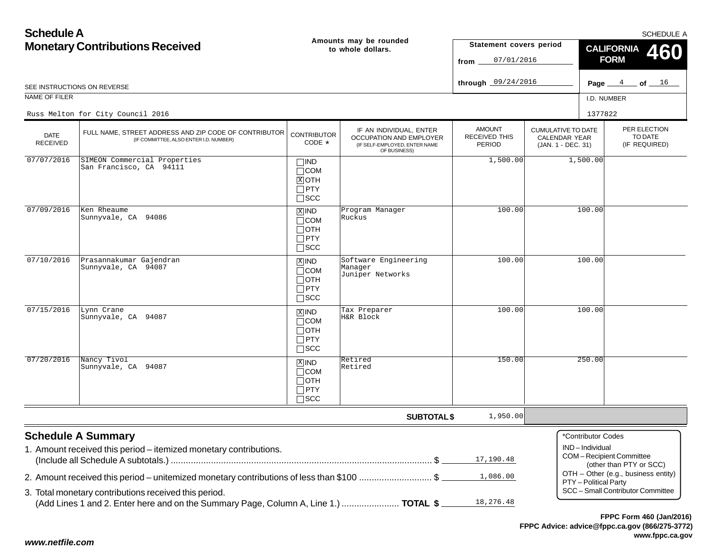| <b>Schedule A</b>                      |                                                                                                                                               |                                                                               |                                                                                                     |                                                 |                                                                  |                                         | <b>SCHEDULE A</b>                                  |  |
|----------------------------------------|-----------------------------------------------------------------------------------------------------------------------------------------------|-------------------------------------------------------------------------------|-----------------------------------------------------------------------------------------------------|-------------------------------------------------|------------------------------------------------------------------|-----------------------------------------|----------------------------------------------------|--|
| <b>Monetary Contributions Received</b> |                                                                                                                                               |                                                                               | Amounts may be rounded<br>to whole dollars.                                                         | Statement covers period<br>07/01/2016<br>from.  |                                                                  | <b>CALIFORNIA</b><br>460<br><b>FORM</b> |                                                    |  |
|                                        | SEE INSTRUCTIONS ON REVERSE                                                                                                                   |                                                                               |                                                                                                     | through $09/24/2016$                            |                                                                  | Page $\equiv$                           | 4<br>$\_$ of $\_$ $^{16}$                          |  |
| NAME OF FILER                          |                                                                                                                                               |                                                                               |                                                                                                     |                                                 |                                                                  | I.D. NUMBER                             |                                                    |  |
|                                        | Russ Melton for City Council 2016                                                                                                             |                                                                               |                                                                                                     |                                                 |                                                                  | 1377822                                 |                                                    |  |
| <b>DATE</b><br><b>RECEIVED</b>         | FULL NAME, STREET ADDRESS AND ZIP CODE OF CONTRIBUTOR<br>(IF COMMITTEE, ALSO ENTER I.D. NUMBER)                                               | <b>CONTRIBUTOR</b><br>CODE *                                                  | IF AN INDIVIDUAL, ENTER<br>OCCUPATION AND EMPLOYER<br>(IF SELF-EMPLOYED, ENTER NAME<br>OF BUSINESS) | <b>AMOUNT</b><br><b>RECEIVED THIS</b><br>PERIOD | <b>CUMULATIVE TO DATE</b><br>CALENDAR YEAR<br>(JAN. 1 - DEC. 31) |                                         | PER ELECTION<br>TO DATE<br>(IF REQUIRED)           |  |
| 07/07/2016                             | SIMEON Commercial Properties<br>San Francisco, CA 94111                                                                                       | $\square$ IND<br>$\Box$ COM<br>$X$ OTH<br>$\Box$ PTY<br>$\square$ SCC         |                                                                                                     | 1,500.00                                        |                                                                  | 1,500.00                                |                                                    |  |
| 07/09/2016                             | Ken Rheaume<br>Sunnyvale, CA 94086                                                                                                            | $X$ IND<br>$\Box$ COM<br>$\Box$ OTH<br>$\Box$ PTY<br>$\square$ SCC            | Program Manager<br>Ruckus                                                                           | 100.00                                          |                                                                  | 100.00                                  |                                                    |  |
| 07/10/2016                             | Prasannakumar Gajendran<br>Sunnyvale, CA 94087                                                                                                | $X$ IND<br>$\Box$ COM<br>$\Box$ oth<br>$\Box$ PTY<br>$\Box$ scc               | Software Engineering<br>Manager<br>Juniper Networks                                                 | 100.00                                          |                                                                  | 100.00                                  |                                                    |  |
| 07/15/2016                             | Lynn Crane<br>Sunnyvale, CA 94087                                                                                                             | $\overline{X}$ IND<br>$\Box$ COM<br>$\Box$ OTH<br>$\Box$ PTY<br>$\square$ SCC | Tax Preparer<br>H&R Block                                                                           | 100.00                                          |                                                                  | 100.00                                  |                                                    |  |
| 07/20/2016                             | Nancy Tivol<br>Sunnyvale, CA 94087                                                                                                            | $X$ IND<br>$\Box$ COM<br>$\Box$ OTH<br>$\Box$ PTY<br>$\square$ SCC            | Retired<br>Retired                                                                                  | 150.00                                          |                                                                  | 250.00                                  |                                                    |  |
|                                        |                                                                                                                                               |                                                                               | <b>SUBTOTAL \$</b>                                                                                  | 1,950.00                                        |                                                                  |                                         |                                                    |  |
|                                        | <b>Schedule A Summary</b><br>1. Amount received this period - itemized monetary contributions.                                                |                                                                               |                                                                                                     | 17,190.48                                       |                                                                  | *Contributor Codes<br>IND-Individual    | COM-Recipient Committee<br>(other than PTY or SCC) |  |
|                                        | 2. Amount received this period - unitemized monetary contributions of less than \$100 \$                                                      |                                                                               |                                                                                                     | 1,086.00                                        |                                                                  | PTY - Political Party                   | OTH - Other (e.g., business entity)                |  |
|                                        | 3. Total monetary contributions received this period.<br>(Add Lines 1 and 2. Enter here and on the Summary Page, Column A, Line 1.)  TOTAL \$ |                                                                               |                                                                                                     | 18,276.48                                       |                                                                  |                                         | SCC - Small Contributor Committee                  |  |
|                                        |                                                                                                                                               |                                                                               |                                                                                                     |                                                 |                                                                  |                                         | FPPC Form 460 (Jan/2016)                           |  |

### *www.netfile.com*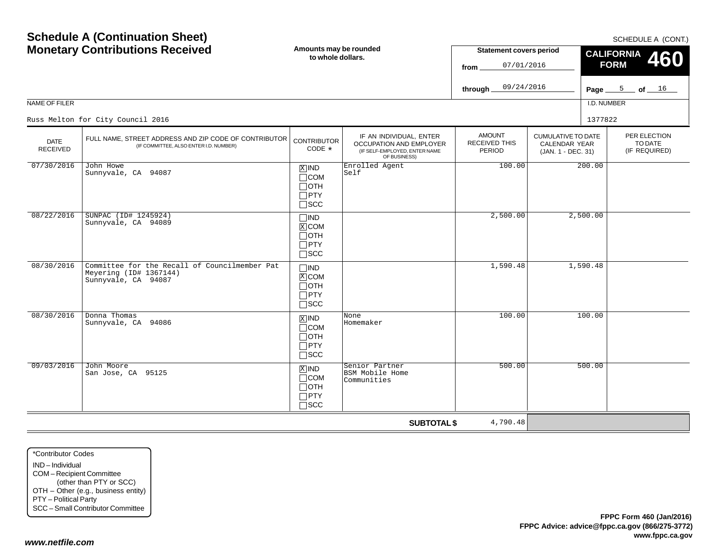| <b>Schedule A (Continuation Sheet)</b><br><b>Monetary Contributions Received</b> |                                                                                                 | Amounts may be rounded<br>to whole dollars.                                          |                                                                                                     | <b>Statement covers period</b><br>07/01/2016<br>from |                                                                  | SCHEDULE A (CONT.)<br><b>CALIFORNIA</b><br>460<br><b>FORM</b> |                                          |  |
|----------------------------------------------------------------------------------|-------------------------------------------------------------------------------------------------|--------------------------------------------------------------------------------------|-----------------------------------------------------------------------------------------------------|------------------------------------------------------|------------------------------------------------------------------|---------------------------------------------------------------|------------------------------------------|--|
|                                                                                  |                                                                                                 |                                                                                      |                                                                                                     | 09/24/2016<br>through                                |                                                                  |                                                               | Page $5$ of $16$                         |  |
| NAME OF FILER                                                                    |                                                                                                 |                                                                                      |                                                                                                     |                                                      |                                                                  | I.D. NUMBER                                                   |                                          |  |
|                                                                                  | Russ Melton for City Council 2016                                                               |                                                                                      |                                                                                                     |                                                      |                                                                  | 1377822                                                       |                                          |  |
| <b>DATE</b><br><b>RECEIVED</b>                                                   | FULL NAME, STREET ADDRESS AND ZIP CODE OF CONTRIBUTOR<br>(IF COMMITTEE, ALSO ENTER I.D. NUMBER) | <b>CONTRIBUTOR</b><br>CODE *                                                         | IF AN INDIVIDUAL, ENTER<br>OCCUPATION AND EMPLOYER<br>(IF SELF-EMPLOYED, ENTER NAME<br>OF BUSINESS) | <b>AMOUNT</b><br><b>RECEIVED THIS</b><br>PERIOD      | <b>CUMULATIVE TO DATE</b><br>CALENDAR YEAR<br>(JAN. 1 - DEC. 31) |                                                               | PER ELECTION<br>TO DATE<br>(IF REQUIRED) |  |
| 07/30/2016                                                                       | John Howe<br>Sunnyvale, CA 94087                                                                | $X$ IND<br>$\Box$ COM<br>$\Box$ oth<br>$\Box$ PTY<br>$\square$ SCC                   | Enrolled Agent<br>Self                                                                              | 100.00                                               |                                                                  | 200.00                                                        |                                          |  |
| 08/22/2016                                                                       | SUNPAC (ID# 1245924)<br>Sunnyvale, CA 94089                                                     | $\square$ IND<br>$\boxed{\text{X}}$ COM<br>$\Box$ OTH<br>$\Box$ PTY<br>$\square$ SCC |                                                                                                     | 2,500.00                                             |                                                                  | 2,500.00                                                      |                                          |  |
| 08/30/2016                                                                       | Committee for the Recall of Councilmember Pat<br>Meyering (ID# 1367144)<br>Sunnyvale, CA 94087  | $\square$ IND<br>X COM<br>$\Box$ OTH<br>$\Box$ PTY<br>$\sqcap$ scc                   |                                                                                                     | 1,590.48                                             |                                                                  | 1,590.48                                                      |                                          |  |
| 08/30/2016                                                                       | Donna Thomas<br>Sunnyvale, CA 94086                                                             | $X$ IND<br>$\Box$ COM<br>$\Box$ OTH<br>$\Box$ PTY<br>$\square$ SCC                   | None<br>Homemaker                                                                                   | 100.00                                               |                                                                  | 100.00                                                        |                                          |  |
| 09/03/2016                                                                       | John Moore<br>San Jose, CA 95125                                                                | $X$ IND<br>$\Box$ COM<br>$\Box$ oth<br>$\Box$ PTY<br>$\sqcap$ scc                    | Senior Partner<br>BSM Mobile Home<br>Communities                                                    | 500.00                                               |                                                                  | 500.00                                                        |                                          |  |
|                                                                                  |                                                                                                 |                                                                                      | <b>SUBTOTAL \$</b>                                                                                  | 4,790.48                                             |                                                                  |                                                               |                                          |  |

\*Contributor CodesIND – IndividualCOM – Recipient Committee (other than PTY or SCC) OTH – Other (e.g., business entity) PTY – Political Party SCC – Small Contributor Committee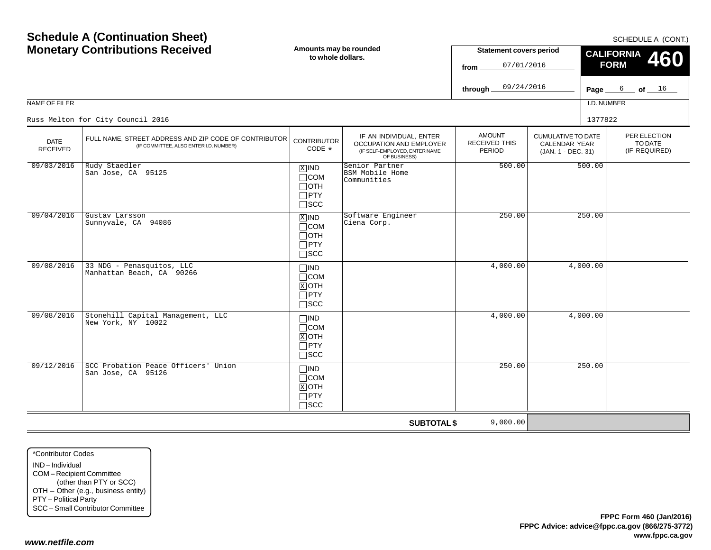| <b>Schedule A (Continuation Sheet)</b><br><b>Monetary Contributions Received</b> |                                                                                                 | Amounts may be rounded<br>to whole dollars.                                   |                                                                                                     | <b>Statement covers period</b><br>07/01/2016<br>from<br>09/24/2016<br>through |                                                                  | SCHEDULE A (CONT.)<br><b>CALIFORNIA</b><br>460<br><b>FORM</b><br>$6$ of $16$<br>Page $\equiv$ |                                          |
|----------------------------------------------------------------------------------|-------------------------------------------------------------------------------------------------|-------------------------------------------------------------------------------|-----------------------------------------------------------------------------------------------------|-------------------------------------------------------------------------------|------------------------------------------------------------------|-----------------------------------------------------------------------------------------------|------------------------------------------|
| NAME OF FILER                                                                    |                                                                                                 |                                                                               |                                                                                                     |                                                                               |                                                                  | I.D. NUMBER                                                                                   |                                          |
|                                                                                  | Russ Melton for City Council 2016                                                               |                                                                               |                                                                                                     |                                                                               |                                                                  | 1377822                                                                                       |                                          |
| <b>DATE</b><br><b>RECEIVED</b>                                                   | FULL NAME, STREET ADDRESS AND ZIP CODE OF CONTRIBUTOR<br>(IF COMMITTEE, ALSO ENTER I.D. NUMBER) | <b>CONTRIBUTOR</b><br>CODE *                                                  | IF AN INDIVIDUAL, ENTER<br>OCCUPATION AND EMPLOYER<br>(IF SELF-EMPLOYED, ENTER NAME<br>OF BUSINESS) | <b>AMOUNT</b><br><b>RECEIVED THIS</b><br>PERIOD                               | <b>CUMULATIVE TO DATE</b><br>CALENDAR YEAR<br>(JAN. 1 - DEC. 31) |                                                                                               | PER ELECTION<br>TO DATE<br>(IF REQUIRED) |
| 09/03/2016                                                                       | Rudy Staedler<br>San Jose, CA 95125                                                             | $X$ IND<br>$\Box$ COM<br>$\Box$ OTH<br>$\Box$ PTY<br>$\Box$ scc               | Senior Partner<br>BSM Mobile Home<br>Communities                                                    | 500.00                                                                        |                                                                  | 500.00                                                                                        |                                          |
| 09/04/2016                                                                       | Gustav Larsson<br>Sunnyvale, CA 94086                                                           | $\overline{X}$ IND<br>$\Box$ COM<br>$\Box$ OTH<br>$\Box$ PTY<br>$\square$ SCC | Software Engineer<br>Ciena Corp.                                                                    | 250.00                                                                        |                                                                  | 250.00                                                                                        |                                          |
| 09/08/2016                                                                       | 33 NDG - Penasquitos, LLC<br>Manhattan Beach, CA 90266                                          | $\Box$ IND<br>$\Box$ COM<br>$X$ OTH<br>$\Box$ PTY<br>$\Box$ scc               |                                                                                                     | 4,000.00                                                                      |                                                                  | 4,000.00                                                                                      |                                          |
| 09/08/2016                                                                       | Stonehill Capital Management, LLC<br>New York, NY 10022                                         | $\Box$ IND<br>$\Box$ COM<br>$X$ OTH<br>$\Box$ PTY<br>$\Box$ SCC               |                                                                                                     | 4,000.00                                                                      |                                                                  | 4,000.00                                                                                      |                                          |
| 09/12/2016                                                                       | SCC Probation Peace Officers' Union<br>San Jose, CA 95126                                       | $\Box$ IND<br>$\Box$ COM<br>$X$ OTH<br>$\Box$ PTY<br>$\square$ SCC            |                                                                                                     | 250.00                                                                        |                                                                  | 250.00                                                                                        |                                          |
|                                                                                  |                                                                                                 |                                                                               | <b>SUBTOTAL \$</b>                                                                                  | 9,000.00                                                                      |                                                                  |                                                                                               |                                          |

\*Contributor CodesIND – Individual COM – Recipient Committee (other than PTY or SCC) OTH – Other (e.g., business entity) PTY – Political Party SCC – Small Contributor Committee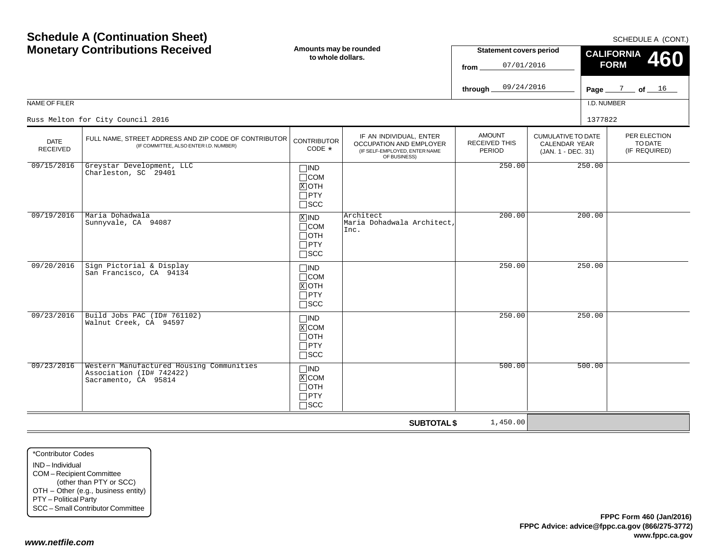SCHEDULE A (CONT)

| <b>Monetary Contributions Received</b><br>NAME OF FILER |                                                                                                 | Amounts may be rounded<br>to whole dollars.                                   |                                                                                                     | <b>Statement covers period</b><br>07/01/2016<br>from<br>09/24/2016<br>through. |                                                                         | <b>JUILDULL A (UUIVI.)</b><br><b>CALIFORNIA</b><br>460<br><b>FORM</b><br>Page $\frac{7}{2}$ of $\frac{16}{2}$<br>I.D. NUMBER |                                          |  |
|---------------------------------------------------------|-------------------------------------------------------------------------------------------------|-------------------------------------------------------------------------------|-----------------------------------------------------------------------------------------------------|--------------------------------------------------------------------------------|-------------------------------------------------------------------------|------------------------------------------------------------------------------------------------------------------------------|------------------------------------------|--|
|                                                         | Russ Melton for City Council 2016                                                               |                                                                               |                                                                                                     |                                                                                |                                                                         | 1377822                                                                                                                      |                                          |  |
| <b>DATE</b><br><b>RECEIVED</b>                          | FULL NAME, STREET ADDRESS AND ZIP CODE OF CONTRIBUTOR<br>(IF COMMITTEE, ALSO ENTER I.D. NUMBER) | <b>CONTRIBUTOR</b><br>CODE *                                                  | IF AN INDIVIDUAL, ENTER<br>OCCUPATION AND EMPLOYER<br>(IF SELF-EMPLOYED, ENTER NAME<br>OF BUSINESS) | <b>AMOUNT</b><br><b>RECEIVED THIS</b><br><b>PERIOD</b>                         | <b>CUMULATIVE TO DATE</b><br><b>CALENDAR YEAR</b><br>(JAN. 1 - DEC. 31) |                                                                                                                              | PER ELECTION<br>TO DATE<br>(IF REQUIRED) |  |
| 09/15/2016                                              | Greystar Development, LLC<br>Charleston, SC 29401                                               | $\Box$ IND<br>$\Box$ COM<br>$X$ OTH<br>$\Box$ PTY<br>$\square$ SCC            |                                                                                                     | 250.00                                                                         |                                                                         | 250.00                                                                                                                       |                                          |  |
| 09/19/2016                                              | Maria Dohadwala<br>Sunnyvale, CA 94087                                                          | $\overline{X}$ IND<br>$\Box$ COM<br>$\Box$ OTH<br>$\Box$ PTY<br>$\square$ SCC | Architect<br>Maria Dohadwala Architect,<br>Inc.                                                     | 200.00                                                                         |                                                                         | 200.00                                                                                                                       |                                          |  |
| 09/20/2016                                              | Sign Pictorial & Display<br>San Francisco, CA 94134                                             | $\Box$ IND<br>$\Box$ COM<br>$X$ OTH<br>$\Box$ PTY<br>$\square$ SCC            |                                                                                                     | 250.00                                                                         |                                                                         | 250.00                                                                                                                       |                                          |  |
| 09/23/2016                                              | Build Jobs PAC (ID# 761102)<br>Walnut Creek, CA 94597                                           | $\Box$ IND<br>$X$ COM<br>$\Box$ OTH<br>$\Box$ PTY<br>$\square$ SCC            |                                                                                                     | 250.00                                                                         |                                                                         | 250.00                                                                                                                       |                                          |  |
| 09/23/2016                                              | Western Manufactured Housing Communities<br>Association (ID# 742422)<br>Sacramento, CA 95814    | $\Box$ IND<br>$X$ COM<br>$\Box$ OTH<br>$\Box$ PTY<br>$\square$ SCC            |                                                                                                     | 500.00                                                                         |                                                                         | 500.00                                                                                                                       |                                          |  |
|                                                         |                                                                                                 |                                                                               | <b>SUBTOTAL \$</b>                                                                                  | 1,450.00                                                                       |                                                                         |                                                                                                                              |                                          |  |

\*Contributor CodesIND – Individual COM – Recipient Committee (other than PTY or SCC) OTH – Other (e.g., business entity) PTY – Political Party SCC – Small Contributor Committee

**Schedule A (Continuation Sheet)**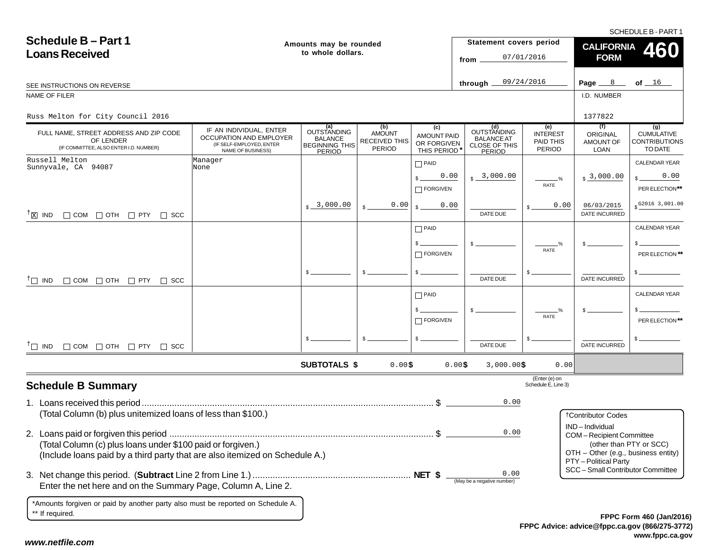SCHEDULE B - PART 1

| <b>Schedule B-Part 1</b><br><b>Loans Received</b>                                                                                          | Amounts may be rounded<br>to whole dollars.                                                         |                                                                         |                                                 | Statement covers period<br>from                         | 07/01/2016                                                         | <b>CALIFORNIA</b><br><b>FORM</b>              | <b>460</b>                                                                              |                                                             |
|--------------------------------------------------------------------------------------------------------------------------------------------|-----------------------------------------------------------------------------------------------------|-------------------------------------------------------------------------|-------------------------------------------------|---------------------------------------------------------|--------------------------------------------------------------------|-----------------------------------------------|-----------------------------------------------------------------------------------------|-------------------------------------------------------------|
| SEE INSTRUCTIONS ON REVERSE                                                                                                                |                                                                                                     |                                                                         |                                                 |                                                         | through $\overline{\phantom{a}}$                                   | 09/24/2016                                    | Page $8$                                                                                | of $16$                                                     |
| NAME OF FILER                                                                                                                              |                                                                                                     |                                                                         |                                                 |                                                         |                                                                    |                                               | I.D. NUMBER                                                                             |                                                             |
| Russ Melton for City Council 2016                                                                                                          |                                                                                                     |                                                                         |                                                 |                                                         |                                                                    |                                               | 1377822                                                                                 |                                                             |
| FULL NAME, STREET ADDRESS AND ZIP CODE<br>OF LENDER<br>(IF COMMITTEE, ALSO ENTER I.D. NUMBER)                                              | IF AN INDIVIDUAL, ENTER<br>OCCUPATION AND EMPLOYER<br>(IF SELF-EMPLOYED, ENTER<br>NAME OF BUSINESS) | (a)<br><b>OUTSTANDING</b><br>BALANCE<br><b>BEGINNING THIS</b><br>PERIOD | (b)<br><b>AMOUNT</b><br>RECEIVED THIS<br>PERIOD | (c)<br><b>AMOUNT PAID</b><br>OR FORGIVEN<br>THIS PERIOD | (d)<br>OUTSTANDING<br><b>BALANCE AT</b><br>CLOSE OF THIS<br>PERIOD | (e)<br><b>INTEREST</b><br>PAID THIS<br>PERIOD | (f)<br>ORIGINAL<br>AMOUNT OF<br><b>LOAN</b>                                             | (g)<br><b>CUMULATIVE</b><br><b>CONTRIBUTIONS</b><br>TO DATE |
| Russell Melton<br>Sunnyvale, CA 94087                                                                                                      | Manager<br>None                                                                                     |                                                                         |                                                 | $\Box$ PAID                                             |                                                                    |                                               |                                                                                         | <b>CALENDAR YEAR</b>                                        |
|                                                                                                                                            |                                                                                                     |                                                                         |                                                 | 0.00<br>FORGIVEN                                        | $s - 3,000.00$                                                     | $\frac{0}{2}$<br>RATE                         | $s3$ ,000.00                                                                            | 0.00<br>PER ELECTION**                                      |
| $^{\dagger}$ $\boxtimes$ IND $\Box$ COM $\Box$ OTH $\Box$ PTY $\Box$ SCC                                                                   |                                                                                                     | $\frac{1}{2}$ 3,000.00                                                  | 0.00                                            | 0.00                                                    | DATE DUE                                                           | 0.00                                          | 06/03/2015<br><b>DATE INCURRED</b>                                                      | $$^{G2016}3,001.00$                                         |
|                                                                                                                                            |                                                                                                     |                                                                         |                                                 | $\Box$ PAID                                             |                                                                    |                                               |                                                                                         | <b>CALENDAR YEAR</b>                                        |
|                                                                                                                                            |                                                                                                     |                                                                         |                                                 | $\Box$ FORGIVEN                                         |                                                                    | %<br>RATE                                     |                                                                                         | PER ELECTION **                                             |
| $\Box$ COM $\Box$ OTH $\Box$ PTY $\Box$ SCC<br>$\top$ IND                                                                                  |                                                                                                     | \$.                                                                     |                                                 |                                                         | DATE DUE                                                           |                                               | DATE INCURRED                                                                           |                                                             |
|                                                                                                                                            |                                                                                                     |                                                                         |                                                 | $\Box$ PAID                                             |                                                                    |                                               |                                                                                         | CALENDAR YEAR                                               |
|                                                                                                                                            |                                                                                                     |                                                                         |                                                 | $\Box$ FORGIVEN                                         |                                                                    | RATE                                          |                                                                                         | PER ELECTION**                                              |
| $^{\dagger}$ IND $\Box$ COM $\Box$ OTH $\Box$ PTY $\Box$ SCC                                                                               |                                                                                                     |                                                                         |                                                 |                                                         | DATE DUE                                                           |                                               | <b>DATE INCURRED</b>                                                                    |                                                             |
|                                                                                                                                            |                                                                                                     | <b>SUBTOTALS \$</b>                                                     | 0.00\$                                          |                                                         | 0.00\$<br>$3,000.00$ \$                                            | 0.00                                          |                                                                                         |                                                             |
| <b>Schedule B Summary</b>                                                                                                                  |                                                                                                     |                                                                         |                                                 |                                                         |                                                                    | (Enter (e) on<br>Schedule E, Line 3)          |                                                                                         |                                                             |
| (Total Column (b) plus unitemized loans of less than \$100.)                                                                               |                                                                                                     |                                                                         |                                                 |                                                         | 0.00                                                               |                                               |                                                                                         |                                                             |
|                                                                                                                                            |                                                                                                     |                                                                         |                                                 |                                                         |                                                                    |                                               | <b>†Contributor Codes</b><br>IND-Individual                                             |                                                             |
| (Total Column (c) plus loans under \$100 paid or forgiven.)<br>(Include loans paid by a third party that are also itemized on Schedule A.) |                                                                                                     |                                                                         |                                                 |                                                         | 0.00                                                               |                                               | COM-Recipient Committee<br>OTH - Other (e.g., business entity)<br>PTY - Political Party | (other than PTY or SCC)                                     |
| Enter the net here and on the Summary Page, Column A, Line 2.                                                                              |                                                                                                     |                                                                         |                                                 |                                                         | 0.00<br>(May be a negative number)                                 |                                               | SCC - Small Contributor Committee                                                       |                                                             |
| *Amounts forgiven or paid by another party also must be reported on Schedule A.<br>** If required.                                         |                                                                                                     |                                                                         |                                                 |                                                         |                                                                    |                                               |                                                                                         | EPPC Form 460 (Jan/2010                                     |

**FPPC Advice: advice@fppc.ca.gov (866/275-3772) www.fppc.ca.gov FPPC Form 460 (Jan/2016)**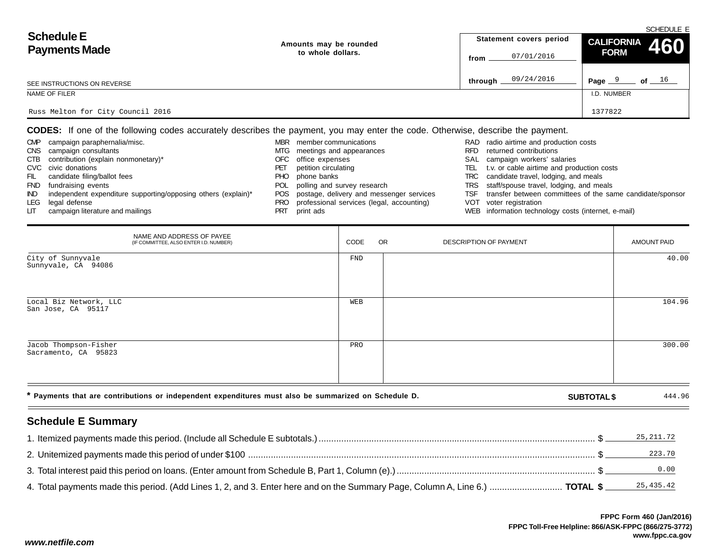| <b>Schedule E</b>                 |                        | SCHEDULE E              |                     |  |  |  |  |
|-----------------------------------|------------------------|-------------------------|---------------------|--|--|--|--|
| <b>Payments Made</b>              | Amounts may be rounded | Statement covers period | CALIFORNIA 460      |  |  |  |  |
|                                   | to whole dollars.      | 07/01/2016<br>from      | <b>FORM</b>         |  |  |  |  |
| SEE INSTRUCTIONS ON REVERSE       |                        | 09/24/2016<br>through.  | of $16$<br>Page $9$ |  |  |  |  |
| NAME OF FILER                     |                        |                         | I.D. NUMBER         |  |  |  |  |
| Russ Melton for City Council 2016 |                        |                         | 1377822             |  |  |  |  |

**CODES:** If one of the following codes accurately describes the payment, you may enter the code. Otherwise, describe the payment.

| <b>CMP</b> | campaign paraphernalia/misc.                                  | <b>MBR</b> | member communications                         |            | RAD radio airtime and production costs                    |
|------------|---------------------------------------------------------------|------------|-----------------------------------------------|------------|-----------------------------------------------------------|
|            | CNS campaign consultants                                      |            | MTG meetings and appearances                  | <b>RFD</b> | returned contributions                                    |
| CTB        | contribution (explain nonmonetary)*                           | OFC        | office expenses                               |            | SAL campaign workers' salaries                            |
|            | CVC civic donations                                           | PЕ.        | petition circulating                          | TEL        | t.v. or cable airtime and production costs                |
| FIL.       | candidate filing/ballot fees                                  | PHO        | phone banks                                   | TRC        | candidate travel, lodging, and meals                      |
| <b>FND</b> | fundraising events                                            | POL        | polling and survey research                   |            | TRS staff/spouse travel, lodging, and meals               |
| IND.       | independent expenditure supporting/opposing others (explain)* |            | POS postage, delivery and messenger services  | TSF        | transfer between committees of the same candidate/sponsor |
| LEG        | legal defense                                                 |            | PRO professional services (legal, accounting) |            | VOT voter registration                                    |
| LIT .      | campaign literature and mailings                              | PRT        | print ads                                     |            | WEB information technology costs (internet, e-mail)       |

|                                                                                                      | NAME AND ADDRESS OF PAYEE<br>(IF COMMITTEE, ALSO ENTER I.D. NUMBER) | CODE | <b>OR</b> | DESCRIPTION OF PAYMENT |                    | <b>AMOUNT PAID</b> |
|------------------------------------------------------------------------------------------------------|---------------------------------------------------------------------|------|-----------|------------------------|--------------------|--------------------|
| City of Sunnyvale<br>Sunnyvale, CA 94086                                                             |                                                                     | FND  |           |                        |                    | 40.00              |
| Local Biz Network, LLC<br>San Jose, CA 95117                                                         |                                                                     | WEB  |           |                        |                    | 104.96             |
| Jacob Thompson-Fisher<br>Sacramento, CA 95823                                                        |                                                                     | PRO  |           |                        |                    | 300.00             |
| * Payments that are contributions or independent expenditures must also be summarized on Schedule D. |                                                                     |      |           |                        | <b>SUBTOTAL \$</b> | 444.96             |

# **Schedule E Summary**

|                                                                                                                              | 25,211.72 |
|------------------------------------------------------------------------------------------------------------------------------|-----------|
|                                                                                                                              | 223.70    |
|                                                                                                                              | 0.00      |
| 4. Total payments made this period. (Add Lines 1, 2, and 3. Enter here and on the Summary Page, Column A, Line 6.)  TOTAL \$ | 25,435.42 |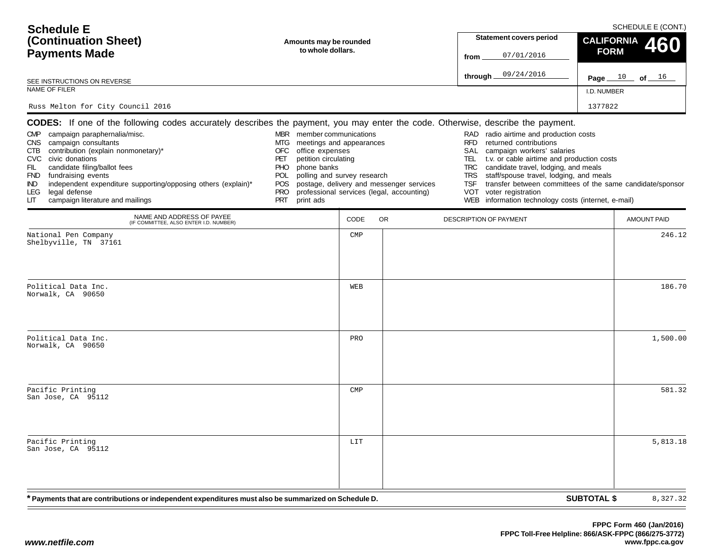| <b>Schedule E</b><br>(Continuation Sheet)                                                                                                                                                                                                                                                                                                                                                                                                   | Amounts may be rounded                                                                                                                                                                                                |            | <b>Statement covers period</b>                                                        | SCHEDULE E (CONT.)<br><b>CALIFORNIA</b>                                                                                                                                                                                                                                                                                         |                                                           |          |
|---------------------------------------------------------------------------------------------------------------------------------------------------------------------------------------------------------------------------------------------------------------------------------------------------------------------------------------------------------------------------------------------------------------------------------------------|-----------------------------------------------------------------------------------------------------------------------------------------------------------------------------------------------------------------------|------------|---------------------------------------------------------------------------------------|---------------------------------------------------------------------------------------------------------------------------------------------------------------------------------------------------------------------------------------------------------------------------------------------------------------------------------|-----------------------------------------------------------|----------|
| <b>Payments Made</b>                                                                                                                                                                                                                                                                                                                                                                                                                        | to whole dollars.                                                                                                                                                                                                     |            |                                                                                       |                                                                                                                                                                                                                                                                                                                                 | <b>FORM</b>                                               | 460      |
| SEE INSTRUCTIONS ON REVERSE                                                                                                                                                                                                                                                                                                                                                                                                                 |                                                                                                                                                                                                                       |            |                                                                                       | 09/24/2016<br>through $\_$                                                                                                                                                                                                                                                                                                      | Page $10$<br>of $16$                                      |          |
| NAME OF FILER                                                                                                                                                                                                                                                                                                                                                                                                                               |                                                                                                                                                                                                                       |            |                                                                                       |                                                                                                                                                                                                                                                                                                                                 | I.D. NUMBER                                               |          |
| Russ Melton for City Council 2016                                                                                                                                                                                                                                                                                                                                                                                                           |                                                                                                                                                                                                                       |            |                                                                                       |                                                                                                                                                                                                                                                                                                                                 | 1377822                                                   |          |
| <b>CODES:</b> If one of the following codes accurately describes the payment, you may enter the code. Otherwise, describe the payment.<br>CMP campaign paraphernalia/misc.<br>CNS campaign consultants<br>CTB contribution (explain nonmonetary)*<br>CVC civic donations<br>candidate filing/ballot fees<br>FIL<br>FND fundraising events<br>independent expenditure supporting/opposing others (explain)*<br>IND.<br>legal defense<br>LEG. | MBR member communications<br>meetings and appearances<br>MTG<br>office expenses<br>OFC<br>petition circulating<br>PET<br>phone banks<br><b>PHO</b><br>polling and survey research<br><b>POL</b><br>POS.<br><b>PRO</b> |            | postage, delivery and messenger services<br>professional services (legal, accounting) | radio airtime and production costs<br>RAD<br><b>RFD</b><br>returned contributions<br>SAL<br>campaign workers' salaries<br>TEL.<br>t.v. or cable airtime and production costs<br>candidate travel, lodging, and meals<br><b>TRC</b><br>staff/spouse travel, lodging, and meals<br>TRS<br><b>TSF</b><br>voter registration<br>VOT | transfer between committees of the same candidate/sponsor |          |
| campaign literature and mailings<br>LIТ<br>NAME AND ADDRESS OF PAYEE                                                                                                                                                                                                                                                                                                                                                                        | PRT<br>print ads                                                                                                                                                                                                      | CODE       | <b>OR</b>                                                                             | WEB information technology costs (internet, e-mail)<br>DESCRIPTION OF PAYMENT                                                                                                                                                                                                                                                   | AMOUNT PAID                                               |          |
| (IF COMMITTEE, ALSO ENTER I.D. NUMBER)<br>National Pen Company                                                                                                                                                                                                                                                                                                                                                                              |                                                                                                                                                                                                                       | <b>CMP</b> |                                                                                       |                                                                                                                                                                                                                                                                                                                                 |                                                           | 246.12   |
| Shelbyville, TN 37161                                                                                                                                                                                                                                                                                                                                                                                                                       |                                                                                                                                                                                                                       |            |                                                                                       |                                                                                                                                                                                                                                                                                                                                 |                                                           |          |
| Political Data Inc.<br>Norwalk, CA 90650                                                                                                                                                                                                                                                                                                                                                                                                    |                                                                                                                                                                                                                       | WEB        |                                                                                       |                                                                                                                                                                                                                                                                                                                                 |                                                           | 186.70   |
| Political Data Inc.<br>Norwalk, CA 90650                                                                                                                                                                                                                                                                                                                                                                                                    |                                                                                                                                                                                                                       | PRO        |                                                                                       |                                                                                                                                                                                                                                                                                                                                 |                                                           | 1,500.00 |
| Pacific Printing<br>San Jose, CA 95112                                                                                                                                                                                                                                                                                                                                                                                                      |                                                                                                                                                                                                                       | <b>CMP</b> |                                                                                       |                                                                                                                                                                                                                                                                                                                                 |                                                           | 581.32   |
| Pacific Printing<br>San Jose, CA 95112                                                                                                                                                                                                                                                                                                                                                                                                      |                                                                                                                                                                                                                       | LIT        |                                                                                       |                                                                                                                                                                                                                                                                                                                                 |                                                           | 5,813.18 |
| * Payments that are contributions or independent expenditures must also be summarized on Schedule D.                                                                                                                                                                                                                                                                                                                                        |                                                                                                                                                                                                                       |            |                                                                                       |                                                                                                                                                                                                                                                                                                                                 | <b>SUBTOTAL \$</b>                                        | 8,327.32 |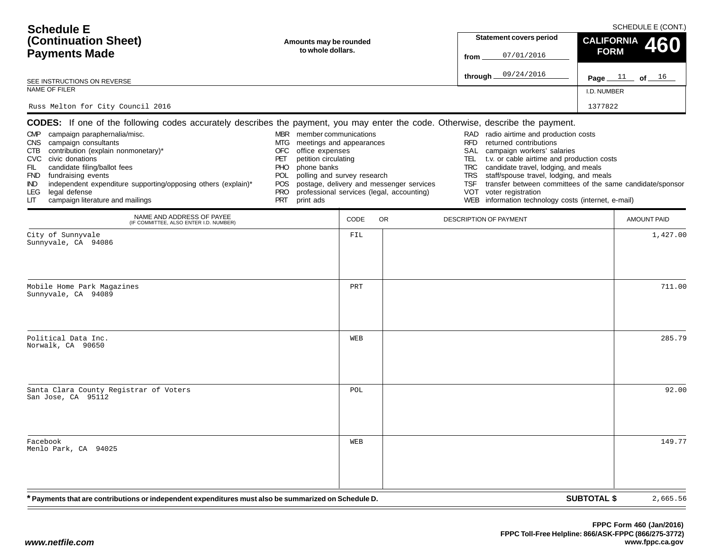| <b>Schedule E</b><br>(Continuation Sheet)<br><b>Payments Made</b>                                                                                                                                                                                                                                                                                                                                                                                                                      | Amounts may be rounded<br>to whole dollars.                                                                                                                                                                                               |      |                                                                                       | <b>Statement covers period</b><br>07/01/2016<br>from                                                                                                                                                                                                                                                                                                                                   | SCHEDULE E (CONT.)<br><b>CALIFORNIA</b><br>460<br><b>FORM</b> |  |
|----------------------------------------------------------------------------------------------------------------------------------------------------------------------------------------------------------------------------------------------------------------------------------------------------------------------------------------------------------------------------------------------------------------------------------------------------------------------------------------|-------------------------------------------------------------------------------------------------------------------------------------------------------------------------------------------------------------------------------------------|------|---------------------------------------------------------------------------------------|----------------------------------------------------------------------------------------------------------------------------------------------------------------------------------------------------------------------------------------------------------------------------------------------------------------------------------------------------------------------------------------|---------------------------------------------------------------|--|
| SEE INSTRUCTIONS ON REVERSE                                                                                                                                                                                                                                                                                                                                                                                                                                                            |                                                                                                                                                                                                                                           |      |                                                                                       | 09/24/2016<br>through $\_$                                                                                                                                                                                                                                                                                                                                                             | Page $11$ of $16$                                             |  |
| NAME OF FILER                                                                                                                                                                                                                                                                                                                                                                                                                                                                          |                                                                                                                                                                                                                                           |      |                                                                                       |                                                                                                                                                                                                                                                                                                                                                                                        | I.D. NUMBER                                                   |  |
| Russ Melton for City Council 2016                                                                                                                                                                                                                                                                                                                                                                                                                                                      |                                                                                                                                                                                                                                           |      |                                                                                       |                                                                                                                                                                                                                                                                                                                                                                                        | 1377822                                                       |  |
| <b>CODES:</b> If one of the following codes accurately describes the payment, you may enter the code. Otherwise, describe the payment.<br>CMP campaign paraphernalia/misc.<br>CNS campaign consultants<br>CTB contribution (explain nonmonetary)*<br>CVC civic donations<br>candidate filing/ballot fees<br>FIL<br>FND fundraising events<br>independent expenditure supporting/opposing others (explain)*<br>IND.<br>legal defense<br>LEG.<br>campaign literature and mailings<br>LIТ | MBR member communications<br>meetings and appearances<br>MTG<br>office expenses<br>OFC<br>petition circulating<br>PET<br>phone banks<br><b>PHO</b><br>polling and survey research<br>POL<br>POS.<br><b>PRO</b><br><b>PRT</b><br>print ads |      | postage, delivery and messenger services<br>professional services (legal, accounting) | RAD<br>radio airtime and production costs<br><b>RFD</b><br>returned contributions<br>SAL<br>campaign workers' salaries<br>TEL.<br>t.v. or cable airtime and production costs<br>candidate travel, lodging, and meals<br><b>TRC</b><br>staff/spouse travel, lodging, and meals<br>TRS<br><b>TSF</b><br>voter registration<br>VOT<br>WEB information technology costs (internet, e-mail) | transfer between committees of the same candidate/sponsor     |  |
| NAME AND ADDRESS OF PAYEE<br>(IF COMMITTEE, ALSO ENTER I.D. NUMBER)                                                                                                                                                                                                                                                                                                                                                                                                                    |                                                                                                                                                                                                                                           | CODE | <b>OR</b>                                                                             | DESCRIPTION OF PAYMENT                                                                                                                                                                                                                                                                                                                                                                 | AMOUNT PAID                                                   |  |
| City of Sunnyvale<br>Sunnyvale, CA 94086                                                                                                                                                                                                                                                                                                                                                                                                                                               |                                                                                                                                                                                                                                           | FIL  |                                                                                       |                                                                                                                                                                                                                                                                                                                                                                                        | 1,427.00                                                      |  |
| Mobile Home Park Magazines<br>Sunnyvale, CA 94089                                                                                                                                                                                                                                                                                                                                                                                                                                      |                                                                                                                                                                                                                                           | PRT  |                                                                                       |                                                                                                                                                                                                                                                                                                                                                                                        | 711.00                                                        |  |
| Political Data Inc.<br>Norwalk, CA 90650                                                                                                                                                                                                                                                                                                                                                                                                                                               |                                                                                                                                                                                                                                           | WEB  |                                                                                       |                                                                                                                                                                                                                                                                                                                                                                                        | 285.79                                                        |  |
| Santa Clara County Registrar of Voters<br>San Jose, CA 95112                                                                                                                                                                                                                                                                                                                                                                                                                           |                                                                                                                                                                                                                                           | POL  |                                                                                       |                                                                                                                                                                                                                                                                                                                                                                                        | 92.00                                                         |  |
| Facebook<br>Menlo Park, CA 94025                                                                                                                                                                                                                                                                                                                                                                                                                                                       |                                                                                                                                                                                                                                           | WEB  |                                                                                       |                                                                                                                                                                                                                                                                                                                                                                                        | 149.77                                                        |  |
| Payments that are contributions or independent expenditures must also be summarized on Schedule D. *                                                                                                                                                                                                                                                                                                                                                                                   |                                                                                                                                                                                                                                           |      |                                                                                       |                                                                                                                                                                                                                                                                                                                                                                                        | <b>SUBTOTAL \$</b><br>2,665.56                                |  |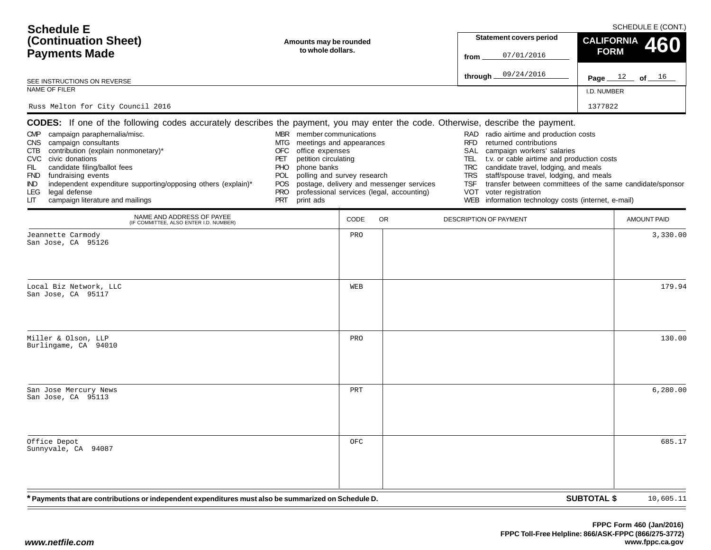| <b>Schedule E</b><br>(Continuation Sheet)<br><b>Payments Made</b>                                                                                                                                                                                                                                                                                                                                                                                                                                          | Amounts may be rounded<br>to whole dollars.                                                                                                                                                                                                      |      | <b>Statement covers period</b><br>07/01/2016<br>from                                  | SCHEDULE E (CONT.)<br><b>CALIFORNIA</b><br>460<br><b>FORM</b>                                                                                                                                                                                                                                                                                                                                |                                                           |
|------------------------------------------------------------------------------------------------------------------------------------------------------------------------------------------------------------------------------------------------------------------------------------------------------------------------------------------------------------------------------------------------------------------------------------------------------------------------------------------------------------|--------------------------------------------------------------------------------------------------------------------------------------------------------------------------------------------------------------------------------------------------|------|---------------------------------------------------------------------------------------|----------------------------------------------------------------------------------------------------------------------------------------------------------------------------------------------------------------------------------------------------------------------------------------------------------------------------------------------------------------------------------------------|-----------------------------------------------------------|
| SEE INSTRUCTIONS ON REVERSE                                                                                                                                                                                                                                                                                                                                                                                                                                                                                |                                                                                                                                                                                                                                                  |      |                                                                                       | 09/24/2016<br>through_                                                                                                                                                                                                                                                                                                                                                                       | Page $12$ of $16$                                         |
| NAME OF FILER                                                                                                                                                                                                                                                                                                                                                                                                                                                                                              |                                                                                                                                                                                                                                                  |      |                                                                                       |                                                                                                                                                                                                                                                                                                                                                                                              | I.D. NUMBER                                               |
| Russ Melton for City Council 2016                                                                                                                                                                                                                                                                                                                                                                                                                                                                          |                                                                                                                                                                                                                                                  |      |                                                                                       |                                                                                                                                                                                                                                                                                                                                                                                              | 1377822                                                   |
| <b>CODES:</b> If one of the following codes accurately describes the payment, you may enter the code. Otherwise, describe the payment.<br>campaign paraphernalia/misc.<br><b>CMP</b><br>CNS campaign consultants<br>contribution (explain nonmonetary)*<br>CTB<br>CVC civic donations<br>candidate filing/ballot fees<br>FIL.<br>FND fundraising events<br>independent expenditure supporting/opposing others (explain)*<br>IND.<br>legal defense<br><b>LEG</b><br>campaign literature and mailings<br>LIТ | MBR member communications<br>meetings and appearances<br>MTG<br>office expenses<br>OFC<br>petition circulating<br>PET<br>phone banks<br><b>PHO</b><br>polling and survey research<br><b>POL</b><br>POS.<br><b>PRO</b><br><b>PRT</b><br>print ads |      | postage, delivery and messenger services<br>professional services (legal, accounting) | radio airtime and production costs<br>RAD<br>returned contributions<br><b>RFD</b><br>SAL<br>campaign workers' salaries<br>t.v. or cable airtime and production costs<br>TEL<br>candidate travel, lodging, and meals<br><b>TRC</b><br>staff/spouse travel, lodging, and meals<br><b>TRS</b><br><b>TSF</b><br>voter registration<br>VOT<br>WEB information technology costs (internet, e-mail) | transfer between committees of the same candidate/sponsor |
| NAME AND ADDRESS OF PAYEE<br>(IF COMMITTEE, ALSO ENTER I.D. NUMBER)                                                                                                                                                                                                                                                                                                                                                                                                                                        |                                                                                                                                                                                                                                                  | CODE | <b>OR</b>                                                                             | <b>DESCRIPTION OF PAYMENT</b>                                                                                                                                                                                                                                                                                                                                                                | <b>AMOUNT PAID</b>                                        |
| Jeannette Carmody<br>San Jose, CA 95126                                                                                                                                                                                                                                                                                                                                                                                                                                                                    |                                                                                                                                                                                                                                                  | PRO  |                                                                                       |                                                                                                                                                                                                                                                                                                                                                                                              | 3,330.00                                                  |
| Local Biz Network, LLC<br>San Jose, CA 95117                                                                                                                                                                                                                                                                                                                                                                                                                                                               |                                                                                                                                                                                                                                                  | WEB  |                                                                                       |                                                                                                                                                                                                                                                                                                                                                                                              | 179.94                                                    |
| Miller & Olson, LLP<br>Burlingame, CA 94010                                                                                                                                                                                                                                                                                                                                                                                                                                                                |                                                                                                                                                                                                                                                  | PRO  |                                                                                       |                                                                                                                                                                                                                                                                                                                                                                                              | 130.00                                                    |
| San Jose Mercury News<br>San Jose, CA 95113                                                                                                                                                                                                                                                                                                                                                                                                                                                                |                                                                                                                                                                                                                                                  | PRT  |                                                                                       |                                                                                                                                                                                                                                                                                                                                                                                              | 6, 280, 00                                                |
| Office Depot<br>Sunnyvale, CA 94087                                                                                                                                                                                                                                                                                                                                                                                                                                                                        |                                                                                                                                                                                                                                                  | OFC  |                                                                                       |                                                                                                                                                                                                                                                                                                                                                                                              | 685.17                                                    |
| * Payments that are contributions or independent expenditures must also be summarized on Schedule D.                                                                                                                                                                                                                                                                                                                                                                                                       |                                                                                                                                                                                                                                                  |      |                                                                                       |                                                                                                                                                                                                                                                                                                                                                                                              | <b>SUBTOTAL \$</b><br>10,605.11                           |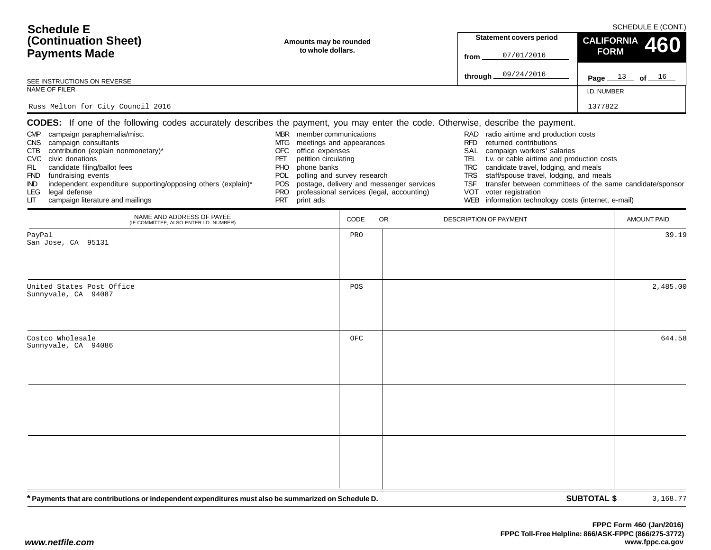| <b>Schedule E</b>                                                                                                                                                                                                                                                                                                                               |                                                                                                                                                                                                                                            |      |                                                                                       |                                                                                          |                                                                                                                                                                                                                                                                                                                                                                       |                    | SCHEDULE E (CONT.) |
|-------------------------------------------------------------------------------------------------------------------------------------------------------------------------------------------------------------------------------------------------------------------------------------------------------------------------------------------------|--------------------------------------------------------------------------------------------------------------------------------------------------------------------------------------------------------------------------------------------|------|---------------------------------------------------------------------------------------|------------------------------------------------------------------------------------------|-----------------------------------------------------------------------------------------------------------------------------------------------------------------------------------------------------------------------------------------------------------------------------------------------------------------------------------------------------------------------|--------------------|--------------------|
| (Continuation Sheet)                                                                                                                                                                                                                                                                                                                            | Amounts may be rounded                                                                                                                                                                                                                     |      |                                                                                       |                                                                                          | <b>Statement covers period</b>                                                                                                                                                                                                                                                                                                                                        | <b>CALIFORNIA</b>  | 460                |
| <b>Payments Made</b>                                                                                                                                                                                                                                                                                                                            | to whole dollars.                                                                                                                                                                                                                          |      |                                                                                       | from                                                                                     | 07/01/2016                                                                                                                                                                                                                                                                                                                                                            | <b>FORM</b>        |                    |
| SEE INSTRUCTIONS ON REVERSE                                                                                                                                                                                                                                                                                                                     |                                                                                                                                                                                                                                            |      |                                                                                       | through.                                                                                 | 09/24/2016                                                                                                                                                                                                                                                                                                                                                            |                    | Page $13$ of $16$  |
| NAME OF FILER                                                                                                                                                                                                                                                                                                                                   |                                                                                                                                                                                                                                            |      |                                                                                       |                                                                                          |                                                                                                                                                                                                                                                                                                                                                                       | I.D. NUMBER        |                    |
| Russ Melton for City Council 2016                                                                                                                                                                                                                                                                                                               |                                                                                                                                                                                                                                            |      |                                                                                       |                                                                                          |                                                                                                                                                                                                                                                                                                                                                                       | 1377822            |                    |
| <b>CODES:</b> If one of the following codes accurately describes the payment, you may enter the code. Otherwise, describe the payment.                                                                                                                                                                                                          |                                                                                                                                                                                                                                            |      |                                                                                       |                                                                                          |                                                                                                                                                                                                                                                                                                                                                                       |                    |                    |
| CMP campaign paraphernalia/misc.<br>CNS campaign consultants<br>contribution (explain nonmonetary)*<br>CTB<br>CVC civic donations<br>FIL<br>candidate filing/ballot fees<br>FND fundraising events<br>independent expenditure supporting/opposing others (explain)*<br>IND.<br>legal defense<br>LEG.<br>campaign literature and mailings<br>LІТ | MBR member communications<br>MTG.<br>meetings and appearances<br><b>OFC</b><br>office expenses<br>petition circulating<br>PET<br>phone banks<br>PHO<br>polling and survey research<br>POL<br>POS.<br><b>PRO</b><br><b>PRT</b><br>print ads |      | postage, delivery and messenger services<br>professional services (legal, accounting) | RAD<br><b>RFD</b><br>SAL<br>TEL.<br><b>TRC</b><br><b>TRS</b><br><b>TSF</b><br><b>VOT</b> | radio airtime and production costs<br>returned contributions<br>campaign workers' salaries<br>t.v. or cable airtime and production costs<br>candidate travel, lodging, and meals<br>staff/spouse travel, lodging, and meals<br>transfer between committees of the same candidate/sponsor<br>voter registration<br>WEB information technology costs (internet, e-mail) |                    |                    |
| NAME AND ADDRESS OF PAYEE<br>(IF COMMITTEE, ALSO ENTER I.D. NUMBER)                                                                                                                                                                                                                                                                             |                                                                                                                                                                                                                                            | CODE | <b>OR</b>                                                                             | DESCRIPTION OF PAYMENT                                                                   |                                                                                                                                                                                                                                                                                                                                                                       |                    | <b>AMOUNT PAID</b> |
| PayPal<br>San Jose, CA 95131                                                                                                                                                                                                                                                                                                                    |                                                                                                                                                                                                                                            | PRO  |                                                                                       |                                                                                          |                                                                                                                                                                                                                                                                                                                                                                       |                    | 39.19              |
| United States Post Office<br>Sunnyvale, CA 94087                                                                                                                                                                                                                                                                                                |                                                                                                                                                                                                                                            | POS  |                                                                                       |                                                                                          |                                                                                                                                                                                                                                                                                                                                                                       |                    | 2,485.00           |
| Costco Wholesale<br>Sunnyvale, CA 94086                                                                                                                                                                                                                                                                                                         |                                                                                                                                                                                                                                            | OFC  |                                                                                       |                                                                                          |                                                                                                                                                                                                                                                                                                                                                                       |                    | 644.58             |
|                                                                                                                                                                                                                                                                                                                                                 |                                                                                                                                                                                                                                            |      |                                                                                       |                                                                                          |                                                                                                                                                                                                                                                                                                                                                                       |                    |                    |
|                                                                                                                                                                                                                                                                                                                                                 |                                                                                                                                                                                                                                            |      |                                                                                       |                                                                                          |                                                                                                                                                                                                                                                                                                                                                                       |                    |                    |
| * Payments that are contributions or independent expenditures must also be summarized on Schedule D.                                                                                                                                                                                                                                            |                                                                                                                                                                                                                                            |      |                                                                                       |                                                                                          |                                                                                                                                                                                                                                                                                                                                                                       | <b>SUBTOTAL \$</b> | 3,168.77           |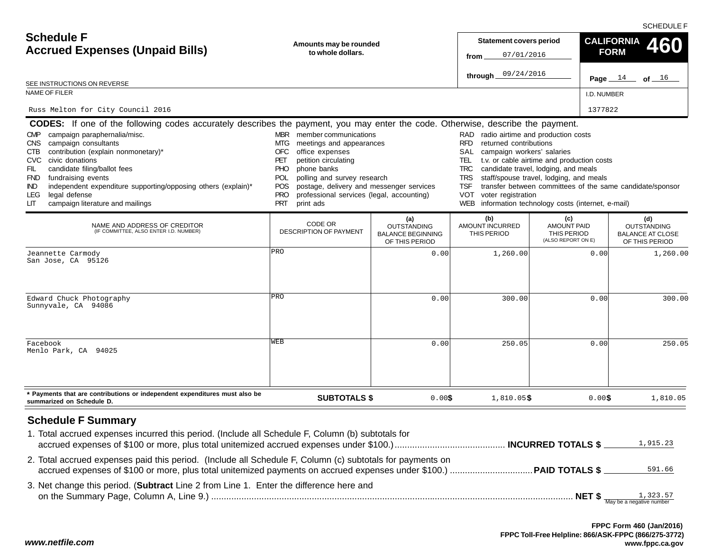SCHEDULE F

| <b>Schedule F</b><br><b>Accrued Expenses (Unpaid Bills)</b>                                                                                                                                                                                                                                                                                                                                                                                                                                                    | Amounts may be rounded<br>to whole dollars.                                                                                                                                                                                                                                                                                                                           |                                                                         |                                       |                                                                | <b>CALIFORNIA</b><br><b>FORM</b><br>Page $14$<br>of $16$               |
|----------------------------------------------------------------------------------------------------------------------------------------------------------------------------------------------------------------------------------------------------------------------------------------------------------------------------------------------------------------------------------------------------------------------------------------------------------------------------------------------------------------|-----------------------------------------------------------------------------------------------------------------------------------------------------------------------------------------------------------------------------------------------------------------------------------------------------------------------------------------------------------------------|-------------------------------------------------------------------------|---------------------------------------|----------------------------------------------------------------|------------------------------------------------------------------------|
| SEE INSTRUCTIONS ON REVERSE                                                                                                                                                                                                                                                                                                                                                                                                                                                                                    |                                                                                                                                                                                                                                                                                                                                                                       |                                                                         |                                       |                                                                |                                                                        |
| <b>NAME OF FILER</b>                                                                                                                                                                                                                                                                                                                                                                                                                                                                                           |                                                                                                                                                                                                                                                                                                                                                                       |                                                                         |                                       | I.D. NUMBER                                                    |                                                                        |
| Russ Melton for City Council 2016                                                                                                                                                                                                                                                                                                                                                                                                                                                                              |                                                                                                                                                                                                                                                                                                                                                                       |                                                                         |                                       | 1377822                                                        |                                                                        |
| <b>CODES:</b> If one of the following codes accurately describes the payment, you may enter the code. Otherwise, describe the payment.<br>campaign paraphernalia/misc.<br><b>CMP</b><br>campaign consultants<br>CNS.<br>contribution (explain nonmonetary)*<br>CTB<br>civic donations<br>CVC.<br>candidate filing/ballot fees<br>FIL<br>fundraising events<br>FND<br>independent expenditure supporting/opposing others (explain)*<br>IND.<br>legal defense<br>LEG.<br>campaign literature and mailings<br>LIТ | RAD radio airtime and production costs<br>returned contributions<br>campaign workers' salaries<br>t.v. or cable airtime and production costs<br>candidate travel, lodging, and meals<br>staff/spouse travel, lodging, and meals<br>transfer between committees of the same candidate/sponsor<br>voter registration<br>information technology costs (internet, e-mail) |                                                                         |                                       |                                                                |                                                                        |
| NAME AND ADDRESS OF CREDITOR<br>(IF COMMITTEE, ALSO ENTER I.D. NUMBER)                                                                                                                                                                                                                                                                                                                                                                                                                                         | CODE OR<br><b>DESCRIPTION OF PAYMENT</b>                                                                                                                                                                                                                                                                                                                              | (a)<br><b>OUTSTANDING</b><br><b>BALANCE BEGINNING</b><br>OF THIS PERIOD | (b)<br>AMOUNT INCURRED<br>THIS PERIOD | (c)<br><b>AMOUNT PAID</b><br>THIS PERIOD<br>(ALSO REPORT ON E) | (d)<br><b>OUTSTANDING</b><br><b>BALANCE AT CLOSE</b><br>OF THIS PERIOD |
| Jeannette Carmody<br>San Jose, CA 95126                                                                                                                                                                                                                                                                                                                                                                                                                                                                        | PRO                                                                                                                                                                                                                                                                                                                                                                   | 0.00                                                                    | 1,260.00                              | 0.00                                                           | 1,260.00                                                               |
| Edward Chuck Photography<br>Sunnyvale, CA 94086                                                                                                                                                                                                                                                                                                                                                                                                                                                                | PRO                                                                                                                                                                                                                                                                                                                                                                   | 0.00                                                                    | 300.00                                | 0.00                                                           | 300.00                                                                 |
| Facebook<br>Menlo Park, CA 94025                                                                                                                                                                                                                                                                                                                                                                                                                                                                               | WEB                                                                                                                                                                                                                                                                                                                                                                   | 0.00                                                                    | 250.05                                | 0.00                                                           | 250.05                                                                 |
| * Payments that are contributions or independent expenditures must also be<br>summarized on Schedule D.                                                                                                                                                                                                                                                                                                                                                                                                        | <b>SUBTOTALS \$</b>                                                                                                                                                                                                                                                                                                                                                   | 0.00\$                                                                  | $1,810.05$ \$                         | 0.00\$                                                         | 1,810.05                                                               |
| <b>Schedule F Summary</b><br>1. Total accrued expenses incurred this period. (Include all Schedule F, Column (b) subtotals for<br>2. Total accrued expenses paid this period. (Include all Schedule F, Column (c) subtotals for payments on                                                                                                                                                                                                                                                                    |                                                                                                                                                                                                                                                                                                                                                                       |                                                                         |                                       |                                                                | 1,915.23                                                               |
| 3. Net change this period. (Subtract Line 2 from Line 1. Enter the difference here and                                                                                                                                                                                                                                                                                                                                                                                                                         |                                                                                                                                                                                                                                                                                                                                                                       |                                                                         |                                       |                                                                | 591.66                                                                 |

*www.netfile.com*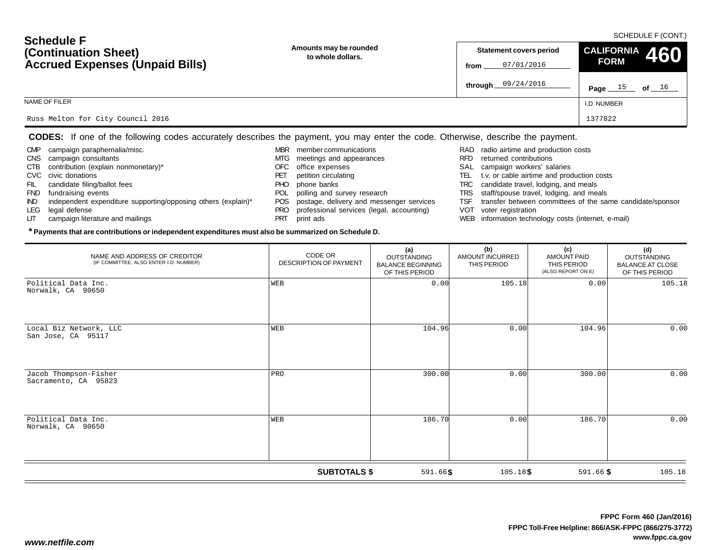#### SCHEDULE F (CONT.)

| <b>OCTEQUIE L</b><br>(Continuation Sheet)<br><b>Accrued Expenses (Unpaid Bills)</b> | Amounts may be rounded<br>to whole dollars. | <b>Statement covers period</b><br>07/01/2016<br>from | CALIFORNIA 460<br><b>FORM</b> |
|-------------------------------------------------------------------------------------|---------------------------------------------|------------------------------------------------------|-------------------------------|
|                                                                                     |                                             | through $09/24/2016$                                 | Page $15$ of $16$             |
| NAME OF FILER                                                                       |                                             |                                                      | I.D. NUMBER                   |
| Russ Melton for City Council 2016                                                   |                                             |                                                      | 1377822                       |

#### **CODES:** If one of the following codes accurately describes the payment, you may enter the code. Otherwise, describe the payment.

- CMP campaign paraphernalia/misc.
- CNS campaign consultants
- CTB contribution (explain nonmonetary)\*
- CVC civic donations

**Schedule F**

- FIL candidate filing/ballot fees
- FND fundraising events
- IND independent expenditure supporting/opposing others (explain)\*

**\* Payments that are contributions or independent expenditures must also be summarized on Schedule D.**

- LEG legal defense
- LIT campaign literature and mailings
- MBR member communications
- MTG meetings and appearances
- OFC office expenses
- PET petition circulating
- PHO phone banks
- POL polling and survey research
- POS postage, delivery and messenger services
- PRO professional services (legal, accounting)
- PRT print ads
- RAD radio airtime and production costs
- RFD returned contributions
- SAL campaign workers' salaries
- TEL t.v. or cable airtime and production costs
- TRC candidate travel, lodging, and meals
- TRS staff/spouse travel, lodging, and meals
- TSF transfer between committees of the same candidate/sponsor
- VOT voter registration
- WEB information technology costs (internet, e-mail)

| NAME AND ADDRESS OF CREDITOR<br>(IF COMMITTEE, ALSO ENTER I.D. NUMBER) | CODE OR<br><b>DESCRIPTION OF PAYMENT</b> | (a)<br><b>OUTSTANDING</b><br><b>BALANCE BEGINNING</b><br>OF THIS PERIOD | (b)<br>AMOUNT INCURRED<br>THIS PERIOD | (c)<br><b>AMOUNT PAID</b><br>THIS PERIOD<br>(ALSO REPORT ON E) | (d)<br><b>OUTSTANDING</b><br><b>BALANCE AT CLOSE</b><br>OF THIS PERIOD |
|------------------------------------------------------------------------|------------------------------------------|-------------------------------------------------------------------------|---------------------------------------|----------------------------------------------------------------|------------------------------------------------------------------------|
| Political Data Inc.<br>Norwalk, CA 90650                               | WEB                                      | 0.00                                                                    | 105.18                                | 0.00                                                           | 105.18                                                                 |
| Local Biz Network, LLC<br>San Jose, CA 95117                           | WEB                                      | 104.96                                                                  | 0.00                                  | 104.96                                                         | 0.00                                                                   |
| Jacob Thompson-Fisher<br>Sacramento, CA 95823                          | PRO                                      | 300.00                                                                  | 0.00                                  | 300.00                                                         | 0.00                                                                   |
| Political Data Inc.<br>Norwalk, CA 90650                               | WEB                                      | 186.70                                                                  | 0.00                                  | 186.70                                                         | 0.00                                                                   |
|                                                                        | <b>SUBTOTALS \$</b>                      | $591.66$ \$                                                             | $105.18$ \$                           | $591.66$ \$                                                    | 105.18                                                                 |